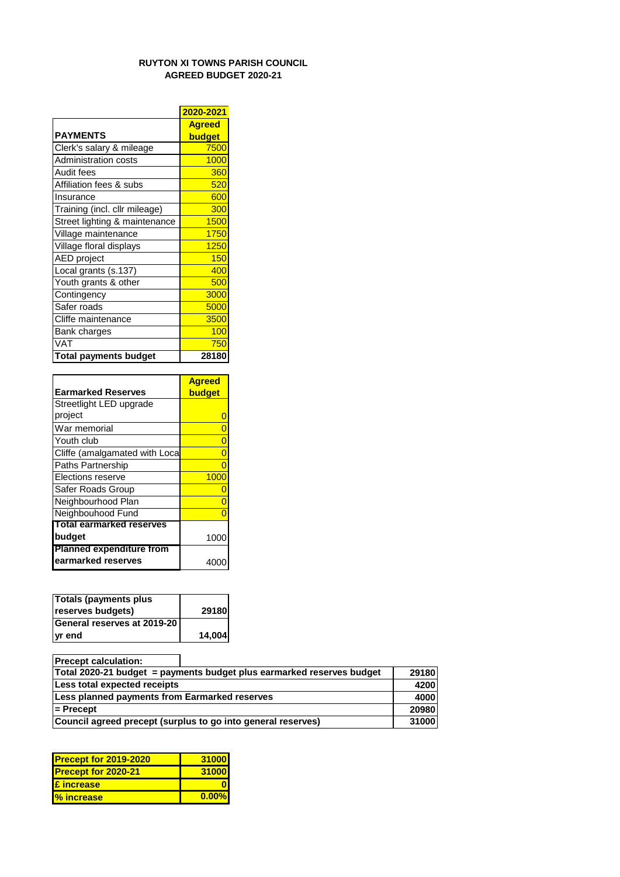## **RUYTON XI TOWNS PARISH COUNCIL AGREED BUDGET 2020-21**

|                               | 2020-2021     |
|-------------------------------|---------------|
|                               | <b>Agreed</b> |
| <b>PAYMENTS</b>               | budget        |
| Clerk's salary & mileage      | 7500          |
| <b>Administration costs</b>   | 1000          |
| Audit fees                    | 360           |
| Affiliation fees & subs       | 520           |
| Insurance                     | 600           |
| Training (incl. cllr mileage) | 300           |
| Street lighting & maintenance | 1500          |
| Village maintenance           | 1750          |
| Village floral displays       | 1250          |
| <b>AED</b> project            | 150           |
| Local grants (s.137)          | 400           |
| Youth grants & other          | 500           |
| Contingency                   | 3000          |
| Safer roads                   | 5000          |
| Cliffe maintenance            | 3500          |
| Bank charges                  | 100           |
| <b>VAT</b>                    | 750           |
| <b>Total payments budget</b>  | 28180         |

|                                 | <b>Agreed</b> |  |
|---------------------------------|---------------|--|
| <b>Earmarked Reserves</b>       | budget        |  |
| Streetlight LED upgrade         |               |  |
| project                         |               |  |
| War memorial                    | 0             |  |
| Youth club                      | 0             |  |
| Cliffe (amalgamated with Loca   | Ω             |  |
| <b>Paths Partnership</b>        | O             |  |
| Elections reserve               | 1000          |  |
| Safer Roads Group               |               |  |
| Neighbourhood Plan              | Ω             |  |
| Neighbouhood Fund               |               |  |
| Total earmarked reserves        |               |  |
| budget                          | 1000          |  |
| <b>Planned expenditure from</b> |               |  |
| earmarked reserves              |               |  |

| Totals (payments plus       |        |
|-----------------------------|--------|
| reserves budgets)           | 29180  |
| General reserves at 2019-20 |        |
| <b>yr</b> end               | 14,004 |

| <b>Precept calculation:</b>                                                    |                                                              |       |  |  |
|--------------------------------------------------------------------------------|--------------------------------------------------------------|-------|--|--|
| 29180<br>Total 2020-21 budget = payments budget plus earmarked reserves budget |                                                              |       |  |  |
| Less total expected receipts                                                   |                                                              |       |  |  |
| Less planned payments from Earmarked reserves                                  |                                                              | 4000  |  |  |
| $=$ Precept                                                                    |                                                              | 20980 |  |  |
|                                                                                | Council agreed precept (surplus to go into general reserves) | 31000 |  |  |

| <b>Precept for 2019-2020</b> | 31000 |
|------------------------------|-------|
| <b>Precept for 2020-21</b>   | 31000 |
| £ increase                   |       |
| <b>%</b> increase            | 0.00% |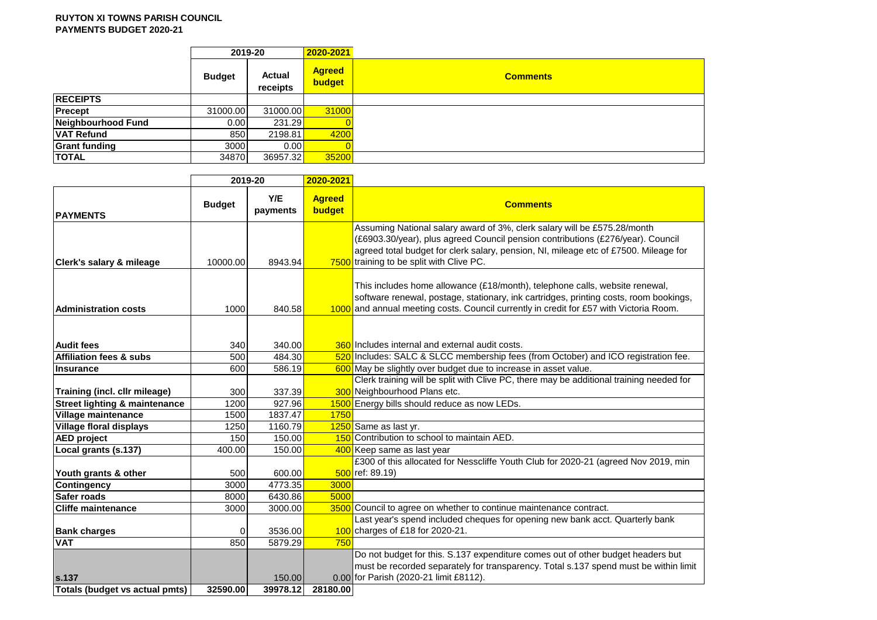|                      | 2019-20       |                    | 2020-2021               |                 |
|----------------------|---------------|--------------------|-------------------------|-----------------|
|                      | <b>Budget</b> | Actual<br>receipts | <b>Agreed</b><br>budget | <b>Comments</b> |
| <b>RECEIPTS</b>      |               |                    |                         |                 |
| Precept              | 31000.00      | 31000.00           | 31000                   |                 |
| Neighbourhood Fund   | 0.00          | 231.29             |                         |                 |
| <b>VAT Refund</b>    | 850           | 2198.81            | 4200                    |                 |
| <b>Grant funding</b> | 3000          | 0.00               |                         |                 |
| <b>TOTAL</b>         | 34870         | 36957.32           | 35200                   |                 |

|                                          | 2019-20       |                 | 2020-2021               |                                                                                                                                                                                                                                                                                                 |  |  |  |
|------------------------------------------|---------------|-----------------|-------------------------|-------------------------------------------------------------------------------------------------------------------------------------------------------------------------------------------------------------------------------------------------------------------------------------------------|--|--|--|
| <b>PAYMENTS</b>                          | <b>Budget</b> | Y/E<br>payments | <b>Agreed</b><br>budget | <b>Comments</b>                                                                                                                                                                                                                                                                                 |  |  |  |
| <b>Clerk's salary &amp; mileage</b>      | 10000.00      | 8943.94         |                         | Assuming National salary award of 3%, clerk salary will be £575.28/month<br>(£6903.30/year), plus agreed Council pension contributions (£276/year). Council<br>agreed total budget for clerk salary, pension, NI, mileage etc of £7500. Mileage for<br>7500 training to be split with Clive PC. |  |  |  |
| <b>Administration costs</b>              | 1000          | 840.58          |                         | This includes home allowance (£18/month), telephone calls, website renewal,<br>software renewal, postage, stationary, ink cartridges, printing costs, room bookings,<br>1000 and annual meeting costs. Council currently in credit for £57 with Victoria Room.                                  |  |  |  |
|                                          |               |                 |                         |                                                                                                                                                                                                                                                                                                 |  |  |  |
| <b>Audit fees</b>                        | 340           | 340.00          |                         | 360 Includes internal and external audit costs.                                                                                                                                                                                                                                                 |  |  |  |
| Affiliation fees & subs                  | 500           | 484.30          |                         | 520 Includes: SALC & SLCC membership fees (from October) and ICO registration fee.                                                                                                                                                                                                              |  |  |  |
| Insurance                                | 600           | 586.19          |                         | 600 May be slightly over budget due to increase in asset value.                                                                                                                                                                                                                                 |  |  |  |
|                                          |               |                 |                         | Clerk training will be split with Clive PC, there may be additional training needed for                                                                                                                                                                                                         |  |  |  |
| Training (incl. cllr mileage)            | 300           | 337.39          |                         | 300 Neighbourhood Plans etc.                                                                                                                                                                                                                                                                    |  |  |  |
| <b>Street lighting &amp; maintenance</b> | 1200          | 927.96          |                         | 1500 Energy bills should reduce as now LEDs.                                                                                                                                                                                                                                                    |  |  |  |
| Village maintenance                      | 1500          | 1837.47         | 1750                    |                                                                                                                                                                                                                                                                                                 |  |  |  |
| <b>Village floral displays</b>           | 1250          | 1160.79         |                         | 1250 Same as last yr.                                                                                                                                                                                                                                                                           |  |  |  |
| <b>AED</b> project                       | 150           | 150.00          |                         | 150 Contribution to school to maintain AED.                                                                                                                                                                                                                                                     |  |  |  |
| Local grants (s.137)                     | 400.00        | 150.00          |                         | 400 Keep same as last year                                                                                                                                                                                                                                                                      |  |  |  |
| Youth grants & other                     | 500           | 600.00          |                         | £300 of this allocated for Nesscliffe Youth Club for 2020-21 (agreed Nov 2019, min<br>500 ref: 89.19)                                                                                                                                                                                           |  |  |  |
| Contingency                              | 3000          | 4773.35         | 3000                    |                                                                                                                                                                                                                                                                                                 |  |  |  |
| Safer roads                              | 8000          | 6430.86         | 5000                    |                                                                                                                                                                                                                                                                                                 |  |  |  |
| <b>Cliffe maintenance</b>                | 3000          | 3000.00         |                         | 3500 Council to agree on whether to continue maintenance contract.                                                                                                                                                                                                                              |  |  |  |
|                                          |               |                 |                         | Last year's spend included cheques for opening new bank acct. Quarterly bank                                                                                                                                                                                                                    |  |  |  |
| <b>Bank charges</b>                      | 0             | 3536.00         |                         | $100$ charges of £18 for 2020-21.                                                                                                                                                                                                                                                               |  |  |  |
| <b>VAT</b>                               | 850           | 5879.29         | 750                     |                                                                                                                                                                                                                                                                                                 |  |  |  |
|                                          |               |                 |                         | Do not budget for this. S.137 expenditure comes out of other budget headers but                                                                                                                                                                                                                 |  |  |  |
|                                          |               |                 |                         | must be recorded separately for transparency. Total s.137 spend must be within limit                                                                                                                                                                                                            |  |  |  |
| <b>s.137</b>                             |               | 150.00          |                         | 0.00 for Parish (2020-21 limit £8112).                                                                                                                                                                                                                                                          |  |  |  |
| Totals (budget vs actual pmts)           | 32590.00      | 39978.12        | 28180.00                |                                                                                                                                                                                                                                                                                                 |  |  |  |